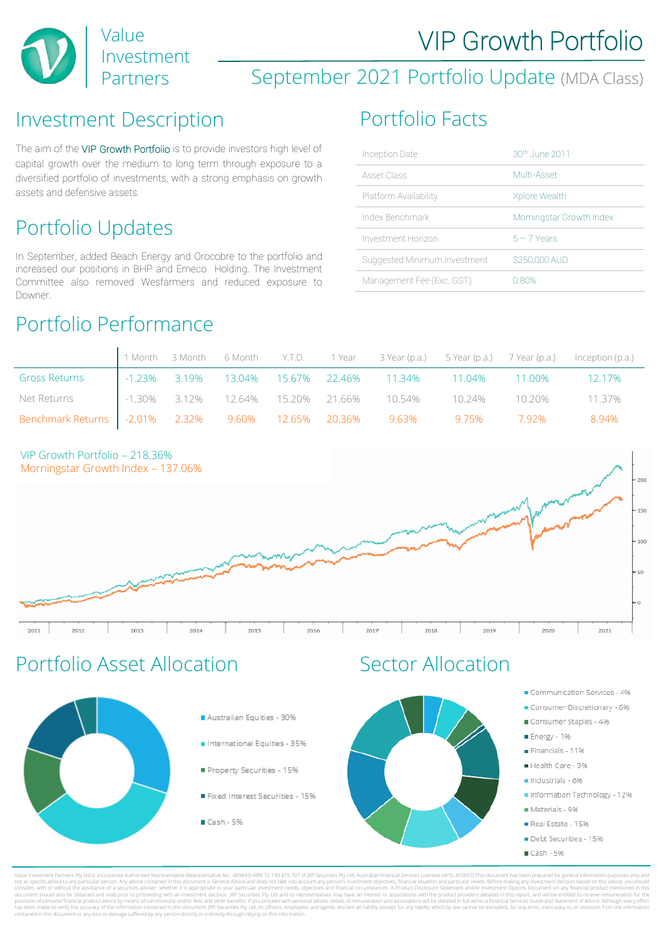

## September 2021 Portfolio Update (MDA Class)

#### Investment Description Portfolio Facts

The aim of the VIP Growth Portfolio is to provide investors high level of capital growth over the medium to long term through exposure to a diversified portfolio of investments, with a strong emphasis on growth assets and defensive assets.

# Portfolio Updates

In September, added Beach Energy and Orocobre to the portfolio and increased our positions in BHP and Emeco Holding. The Investment Committee also removed Wesfarmers and reduced exposure to Downer.

### Portfolio Performance

| Inception Date               | 30th, June 2011          |
|------------------------------|--------------------------|
| Asset Class                  | Multi-Asset              |
| Platform Availability        | Xplore Wealth            |
| Index Benchmark              | Morningstar Growth Index |
| Investment Horizon           | $5 - 7$ Years            |
| Suggested Minimum Investment | \$250,000 AUD            |
| Management Fee (Exc. GST)    | 0.80%                    |

|                                                                          |  |  |                                                              |  | 1 Month 3 Month 6 Month Y.T.D. 1 Year 3 Year (p.a.) 5 Year (p.a.) 7 Year (p.a.) Inception (p.a.) |
|--------------------------------------------------------------------------|--|--|--------------------------------------------------------------|--|--------------------------------------------------------------------------------------------------|
| <b>Gross Returns</b>                                                     |  |  | 1.23% 3.19% 13.04% 15.67% 22.46% 11.34% 11.04% 11.00% 12.17% |  |                                                                                                  |
| Net Returns 1.30% 3.12% 12.64% 15.20% 21.66% 10.54% 10.24% 10.20% 11.37% |  |  |                                                              |  |                                                                                                  |
| Benchmark Returns   -2.01% 2.32% 9.60% 12.65% 20.36% 9.63% 9.75% 7.92%   |  |  |                                                              |  | 8.94%                                                                                            |





## Portfolio Asset Allocation Sector Allocation



Value Investment Partners Pty Ltd is a Corporate Authorised Representative (Representative No.: 409849) ABN 72 149 815 707 of JRP Securities Pty Ltd, Australian Financial Services Licensee (AFSL 455657).This document has b not as specific advice to any particular person. Any advice contained in this document is General Advice and does not take into account any person's investment objectives, financial situation and particular needs. Before m consider, with or without the assistance of a securities adviser, whether it is appropriate to your particular investment needs, objectives and financial circumstances. A Product Disclosure Statement and/or Investment Opti document should also be obtained and read prior to proceeding with an investment decision. JRP Securities Pty Ltd and its representatives may have an interest or associations with the product providers detailed in this rep provision of personal financial product advice by means of commissions and/or fees and other benefits. If you proceed with personal advice, details of remuneration and associations will be detailed in full within a Financi has been made to verify the accuracy of the information contained in this document, JRP Securities Pty Ltd, its officers, employees and agents disclaim all liability (except for any liability which by law cannot be exclude contained in this document or any loss or damage suffered by any person directly or indirectly through relying on this information.